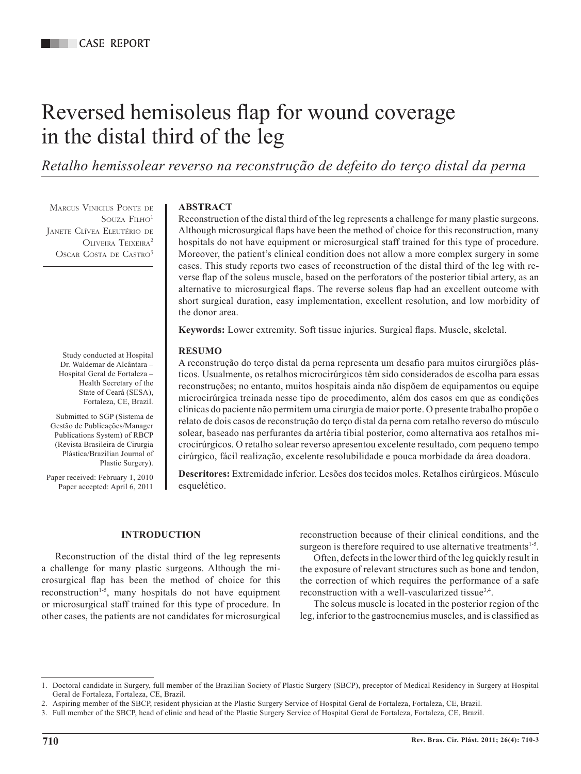# Reversed hemisoleus flap for wound coverage in the distal third of the leg

*Retalho hemissolear reverso na reconstrução de defeito do terço distal da perna*

Marcus Vinicius Ponte de SOUZA FILHO<sup>1</sup> Janete Clívea Eleutério de OLIVEIRA TEIXEIRA<sup>2</sup> Oscar Costa de Castro<sup>3</sup>

> Study conducted at Hospital Dr. Waldemar de Alcântara – Hospital Geral de Fortaleza – Health Secretary of the State of Ceará (SESA), Fortaleza, CE, Brazil.

Submitted to SGP (Sistema de Gestão de Publicações/Manager Publications System) of RBCP (Revista Brasileira de Cirurgia Plástica/Brazilian Journal of Plastic Surgery).

Paper received: February 1, 2010 Paper accepted: April 6, 2011

# **ABSTRACT**

Reconstruction of the distal third of the leg represents a challenge for many plastic surgeons. Although microsurgical flaps have been the method of choice for this reconstruction, many hospitals do not have equipment or microsurgical staff trained for this type of procedure. Moreover, the patient's clinical condition does not allow a more complex surgery in some cases. This study reports two cases of reconstruction of the distal third of the leg with reverse flap of the soleus muscle, based on the perforators of the posterior tibial artery, as an alternative to microsurgical flaps. The reverse soleus flap had an excellent outcome with short surgical duration, easy implementation, excellent resolution, and low morbidity of the donor area.

**Keywords:** Lower extremity. Soft tissue injuries. Surgical flaps. Muscle, skeletal.

## **RESUMO**

A reconstrução do terço distal da perna representa um desafio para muitos cirurgiões plásticos. Usualmente, os retalhos microcirúrgicos têm sido considerados de escolha para essas reconstruções; no entanto, muitos hospitais ainda não dispõem de equipamentos ou equipe microcirúrgica treinada nesse tipo de procedimento, além dos casos em que as condições clínicas do paciente não permitem uma cirurgia de maior porte. O presente trabalho propõe o relato de dois casos de reconstrução do terço distal da perna com retalho reverso do músculo solear, baseado nas perfurantes da artéria tibial posterior, como alternativa aos retalhos microcirúrgicos. O retalho solear reverso apresentou excelente resultado, com pequeno tempo cirúrgico, fácil realização, excelente resolubilidade e pouca morbidade da área doadora.

**Descritores:** Extremidade inferior. Lesões dos tecidos moles. Retalhos cirúrgicos. Músculo esquelético.

## **INTRODUCTION**

Reconstruction of the distal third of the leg represents a challenge for many plastic surgeons. Although the microsurgical flap has been the method of choice for this reconstruction<sup>1-5</sup>, many hospitals do not have equipment or microsurgical staff trained for this type of procedure. In other cases, the patients are not candidates for microsurgical reconstruction because of their clinical conditions, and the surgeon is therefore required to use alternative treatments $1-5$ .

Often, defects in the lower third of the leg quickly result in the exposure of relevant structures such as bone and tendon, the correction of which requires the performance of a safe reconstruction with a well-vascularized tissue<sup>3,4</sup>.

The soleus muscle is located in the posterior region of the leg, inferior to the gastrocnemius muscles, and is classified as

<sup>1.</sup> Doctoral candidate in Surgery, full member of the Brazilian Society of Plastic Surgery (SBCP), preceptor of Medical Residency in Surgery at Hospital Geral de Fortaleza, Fortaleza, CE, Brazil.

<sup>2.</sup> Aspiring member of the SBCP, resident physician at the Plastic Surgery Service of Hospital Geral de Fortaleza, Fortaleza, CE, Brazil.

<sup>3.</sup> Full member of the SBCP, head of clinic and head of the Plastic Surgery Service of Hospital Geral de Fortaleza, Fortaleza, CE, Brazil.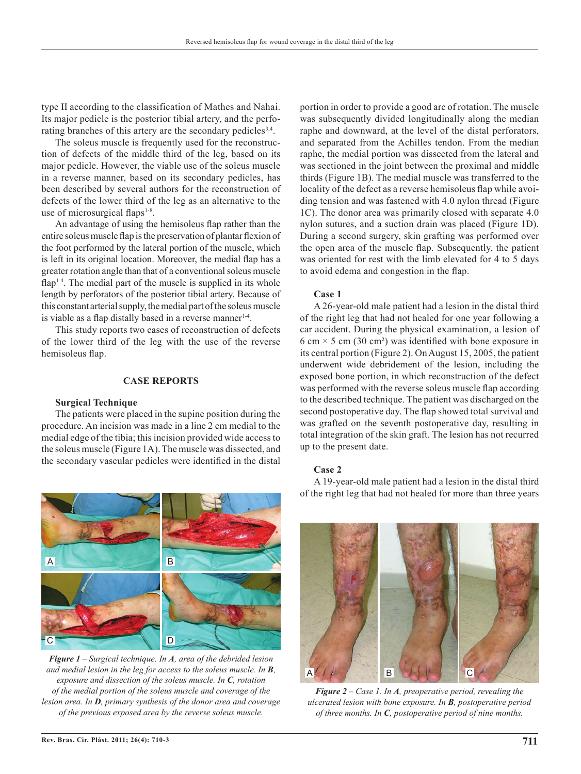type II according to the classification of Mathes and Nahai. Its major pedicle is the posterior tibial artery, and the perforating branches of this artery are the secondary pedicles<sup>3,4</sup>.

The soleus muscle is frequently used for the reconstruction of defects of the middle third of the leg, based on its major pedicle. However, the viable use of the soleus muscle in a reverse manner, based on its secondary pedicles, has been described by several authors for the reconstruction of defects of the lower third of the leg as an alternative to the use of microsurgical flaps<sup>1-8</sup>.

An advantage of using the hemisoleus flap rather than the entire soleus muscle flap is the preservation of plantar flexion of the foot performed by the lateral portion of the muscle, which is left in its original location. Moreover, the medial flap has a greater rotation angle than that of a conventional soleus muscle flap<sup>1-4</sup>. The medial part of the muscle is supplied in its whole length by perforators of the posterior tibial artery. Because of this constant arterial supply, the medial part of the soleus muscle is viable as a flap distally based in a reverse manner<sup>1-4</sup>.

This study reports two cases of reconstruction of defects of the lower third of the leg with the use of the reverse hemisoleus flap.

#### **CASE REPORTS**

#### **Surgical Technique**

A

The patients were placed in the supine position during the procedure. An incision was made in a line 2 cm medial to the medial edge of the tibia; this incision provided wide access to the soleus muscle (Figure 1A). The muscle was dissected, and the secondary vascular pedicles were identified in the distal portion in order to provide a good arc of rotation. The muscle was subsequently divided longitudinally along the median raphe and downward, at the level of the distal perforators, and separated from the Achilles tendon. From the median raphe, the medial portion was dissected from the lateral and was sectioned in the joint between the proximal and middle thirds (Figure 1B). The medial muscle was transferred to the locality of the defect as a reverse hemisoleus flap while avoiding tension and was fastened with 4.0 nylon thread (Figure 1C). The donor area was primarily closed with separate 4.0 nylon sutures, and a suction drain was placed (Figure 1D). During a second surgery, skin grafting was performed over the open area of the muscle flap. Subsequently, the patient was oriented for rest with the limb elevated for 4 to 5 days to avoid edema and congestion in the flap.

#### **Case 1**

A 26-year-old male patient had a lesion in the distal third of the right leg that had not healed for one year following a car accident. During the physical examination, a lesion of 6 cm  $\times$  5 cm (30 cm<sup>2</sup>) was identified with bone exposure in its central portion (Figure 2). On August 15, 2005, the patient underwent wide debridement of the lesion, including the exposed bone portion, in which reconstruction of the defect was performed with the reverse soleus muscle flap according to the described technique. The patient was discharged on the second postoperative day. The flap showed total survival and was grafted on the seventh postoperative day, resulting in total integration of the skin graft. The lesion has not recurred up to the present date.

#### **Case 2**

A 19-year-old male patient had a lesion in the distal third of the right leg that had not healed for more than three years



B

*of the previous exposed area by the reverse soleus muscle.*



*Figure 2 – Case 1. In A, preoperative period, revealing the ulcerated lesion with bone exposure. In B, postoperative period of three months. In C, postoperative period of nine months.*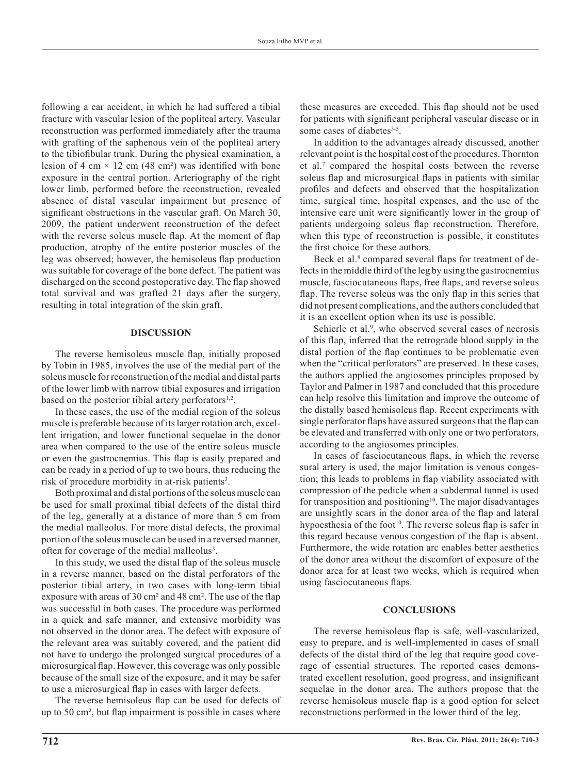following a car accident, in which he had suffered a tibial fracture with vascular lesion of the popliteal artery. Vascular reconstruction was performed immediately after the trauma with grafting of the saphenous vein of the popliteal artery to the tibiofibular trunk. During the physical examination, a lesion of 4 cm  $\times$  12 cm (48 cm<sup>2</sup>) was identified with bone exposure in the central portion. Arteriography of the right lower limb, performed before the reconstruction, revealed absence of distal vascular impairment but presence of significant obstructions in the vascular graft. On March 30, 2009, the patient underwent reconstruction of the defect with the reverse soleus muscle flap. At the moment of flap production, atrophy of the entire posterior muscles of the leg was observed; however, the hemisoleus flap production was suitable for coverage of the bone defect. The patient was discharged on the second postoperative day. The flap showed total survival and was grafted 21 days after the surgery, resulting in total integration of the skin graft.

### **DISCUSSION**

The reverse hemisoleus muscle flap, initially proposed by Tobin in 1985, involves the use of the medial part of the soleus muscle for reconstruction of the medial and distal parts of the lower limb with narrow tibial exposures and irrigation based on the posterior tibial artery perforators $1,2$ .

In these cases, the use of the medial region of the soleus muscle is preferable because of its larger rotation arch, excellent irrigation, and lower functional sequelae in the donor area when compared to the use of the entire soleus muscle or even the gastrocnemius. This flap is easily prepared and can be ready in a period of up to two hours, thus reducing the risk of procedure morbidity in at-risk patients<sup>3</sup>.

Both proximal and distal portions of the soleus muscle can be used for small proximal tibial defects of the distal third of the leg, generally at a distance of more than 5 cm from the medial malleolus. For more distal defects, the proximal portion of the soleus muscle can be used in a reversed manner, often for coverage of the medial malleolus<sup>3</sup>.

In this study, we used the distal flap of the soleus muscle in a reverse manner, based on the distal perforators of the posterior tibial artery, in two cases with long-term tibial exposure with areas of 30 cm² and 48 cm². The use of the flap was successful in both cases. The procedure was performed in a quick and safe manner, and extensive morbidity was not observed in the donor area. The defect with exposure of the relevant area was suitably covered, and the patient did not have to undergo the prolonged surgical procedures of a microsurgical flap. However, this coverage was only possible because of the small size of the exposure, and it may be safer to use a microsurgical flap in cases with larger defects.

The reverse hemisoleus flap can be used for defects of up to 50 cm², but flap impairment is possible in cases where

these measures are exceeded. This flap should not be used for patients with significant peripheral vascular disease or in some cases of diabetes<sup>3-5</sup>.

In addition to the advantages already discussed, another relevant point is the hospital cost of the procedures. Thornton et al.<sup>7</sup> compared the hospital costs between the reverse soleus flap and microsurgical flaps in patients with similar profiles and defects and observed that the hospitalization time, surgical time, hospital expenses, and the use of the intensive care unit were significantly lower in the group of patients undergoing soleus flap reconstruction. Therefore, when this type of reconstruction is possible, it constitutes the first choice for these authors.

Beck et al.<sup>8</sup> compared several flaps for treatment of defects in the middle third of the leg by using the gastrocnemius muscle, fasciocutaneous flaps, free flaps, and reverse soleus flap. The reverse soleus was the only flap in this series that did not present complications, and the authors concluded that it is an excellent option when its use is possible.

Schierle et al.<sup>9</sup>, who observed several cases of necrosis of this flap, inferred that the retrograde blood supply in the distal portion of the flap continues to be problematic even when the "critical perforators" are preserved. In these cases, the authors applied the angiosomes principles proposed by Taylor and Palmer in 1987 and concluded that this procedure can help resolve this limitation and improve the outcome of the distally based hemisoleus flap. Recent experiments with single perforator flaps have assured surgeons that the flap can be elevated and transferred with only one or two perforators, according to the angiosomes principles.

In cases of fasciocutaneous flaps, in which the reverse sural artery is used, the major limitation is venous congestion; this leads to problems in flap viability associated with compression of the pedicle when a subdermal tunnel is used for transposition and positioning<sup>10</sup>. The major disadvantages are unsightly scars in the donor area of the flap and lateral hypoesthesia of the foot<sup>10</sup>. The reverse soleus flap is safer in this regard because venous congestion of the flap is absent. Furthermore, the wide rotation arc enables better aesthetics of the donor area without the discomfort of exposure of the donor area for at least two weeks, which is required when using fasciocutaneous flaps.

## **CONCLUSIONS**

The reverse hemisoleus flap is safe, well-vascularized, easy to prepare, and is well-implemented in cases of small defects of the distal third of the leg that require good coverage of essential structures. The reported cases demonstrated excellent resolution, good progress, and insignificant sequelae in the donor area. The authors propose that the reverse hemisoleus muscle flap is a good option for select reconstructions performed in the lower third of the leg.